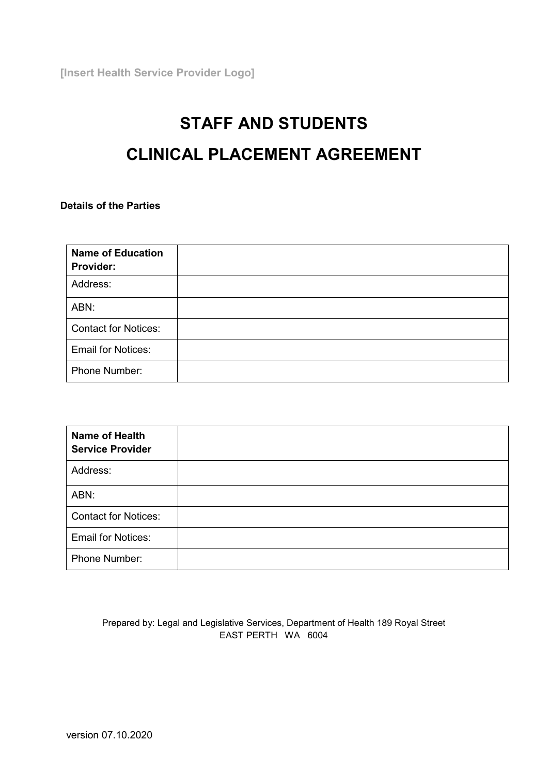**[Insert Health Service Provider Logo]**

# **STAFF AND STUDENTS CLINICAL PLACEMENT AGREEMENT**

**Details of the Parties**

| <b>Name of Education</b><br>Provider: |  |
|---------------------------------------|--|
| Address:                              |  |
| ABN:                                  |  |
| <b>Contact for Notices:</b>           |  |
| <b>Email for Notices:</b>             |  |
| Phone Number:                         |  |

| <b>Name of Health</b><br><b>Service Provider</b> |  |
|--------------------------------------------------|--|
| Address:                                         |  |
| ABN:                                             |  |
| <b>Contact for Notices:</b>                      |  |
| <b>Email for Notices:</b>                        |  |
| Phone Number:                                    |  |

## Prepared by: Legal and Legislative Services, Department of Health 189 Royal Street EAST PERTH WA 6004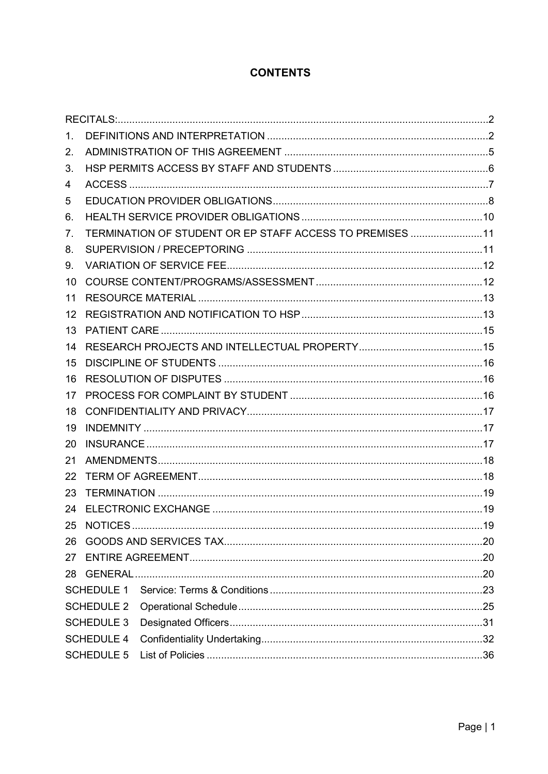## **CONTENTS**

| $1_{-}$           |                                                          |     |  |
|-------------------|----------------------------------------------------------|-----|--|
| 2.                |                                                          |     |  |
| 3.                |                                                          |     |  |
| 4                 |                                                          |     |  |
| 5                 |                                                          |     |  |
| 6.                |                                                          |     |  |
| 7.                | TERMINATION OF STUDENT OR EP STAFF ACCESS TO PREMISES 11 |     |  |
| 8.                |                                                          |     |  |
| 9.                |                                                          |     |  |
| 10                |                                                          |     |  |
| 11                |                                                          |     |  |
| $12 \overline{ }$ |                                                          |     |  |
| 13                |                                                          |     |  |
| 14                |                                                          |     |  |
| 15                |                                                          |     |  |
| 16                |                                                          |     |  |
| 17                |                                                          |     |  |
| 18                |                                                          |     |  |
| 19                |                                                          |     |  |
| 20                |                                                          |     |  |
| 21                |                                                          |     |  |
| 22                |                                                          |     |  |
| 23                |                                                          |     |  |
| 24                |                                                          |     |  |
|                   | 25 NOTICES                                               | .19 |  |
| 26                |                                                          |     |  |
| 27                |                                                          |     |  |
| 28                |                                                          |     |  |
|                   | <b>SCHEDULE 1</b>                                        |     |  |
|                   | <b>SCHEDULE 2</b>                                        |     |  |
|                   | <b>SCHEDULE 3</b>                                        |     |  |
|                   | <b>SCHEDULE 4</b>                                        |     |  |
|                   | <b>SCHEDULE 5</b>                                        |     |  |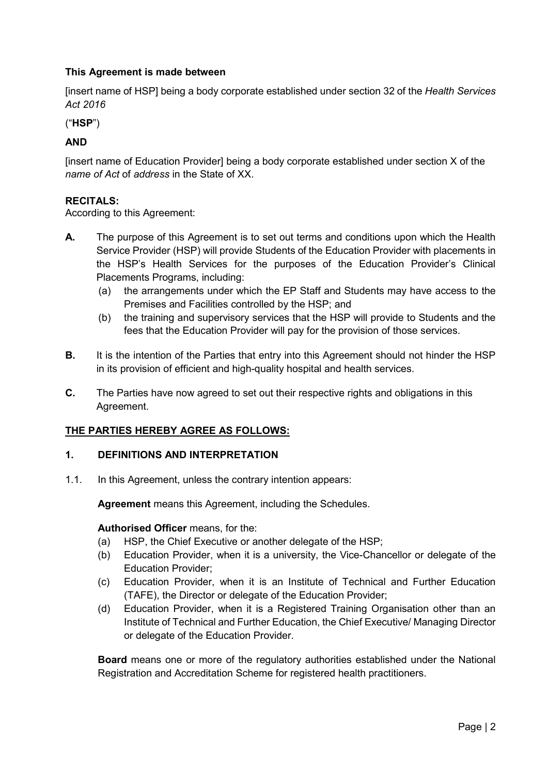## **This Agreement is made between**

[insert name of HSP] being a body corporate established under section 32 of the *Health Services Act 2016*

("**HSP**")

## **AND**

[insert name of Education Provider] being a body corporate established under section X of the *name of Act* of *address* in the State of XX.

## <span id="page-2-0"></span>**RECITALS:**

According to this Agreement:

- **A.** The purpose of this Agreement is to set out terms and conditions upon which the Health Service Provider (HSP) will provide Students of the Education Provider with placements in the HSP's Health Services for the purposes of the Education Provider's Clinical Placements Programs, including:
	- (a) the arrangements under which the EP Staff and Students may have access to the Premises and Facilities controlled by the HSP; and
	- (b) the training and supervisory services that the HSP will provide to Students and the fees that the Education Provider will pay for the provision of those services.
- **B.** It is the intention of the Parties that entry into this Agreement should not hinder the HSP in its provision of efficient and high-quality hospital and health services.
- **C.** The Parties have now agreed to set out their respective rights and obligations in this Agreement.

## **THE PARTIES HEREBY AGREE AS FOLLOWS:**

## <span id="page-2-1"></span>**1. DEFINITIONS AND INTERPRETATION**

1.1. In this Agreement, unless the contrary intention appears:

**Agreement** means this Agreement, including the Schedules.

## **Authorised Officer** means, for the:

- (a) HSP, the Chief Executive or another delegate of the HSP;
- (b) Education Provider, when it is a university, the Vice-Chancellor or delegate of the Education Provider;
- (c) Education Provider, when it is an Institute of Technical and Further Education (TAFE), the Director or delegate of the Education Provider;
- (d) Education Provider, when it is a Registered Training Organisation other than an Institute of Technical and Further Education, the Chief Executive/ Managing Director or delegate of the Education Provider.

**Board** means one or more of the regulatory authorities established under the National Registration and Accreditation Scheme for registered health practitioners.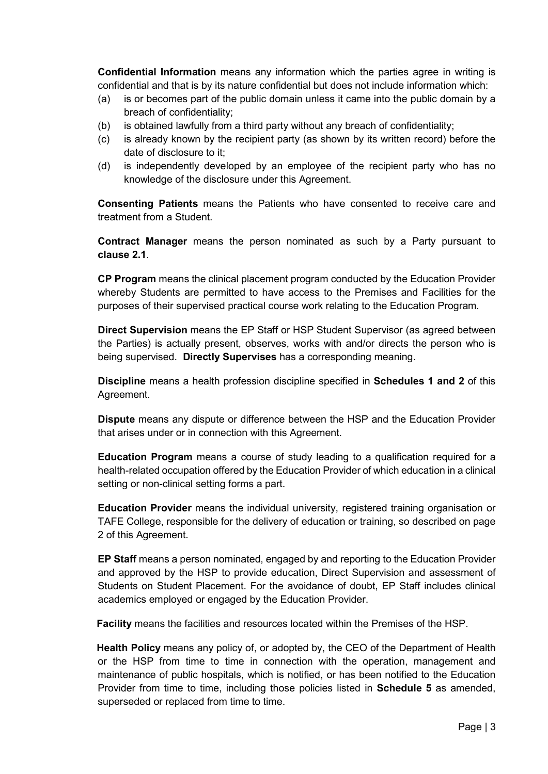**Confidential Information** means any information which the parties agree in writing is confidential and that is by its nature confidential but does not include information which:

- (a) is or becomes part of the public domain unless it came into the public domain by a breach of confidentiality;
- (b) is obtained lawfully from a third party without any breach of confidentiality;
- (c) is already known by the recipient party (as shown by its written record) before the date of disclosure to it;
- (d) is independently developed by an employee of the recipient party who has no knowledge of the disclosure under this Agreement.

**Consenting Patients** means the Patients who have consented to receive care and treatment from a Student.

**Contract Manager** means the person nominated as such by a Party pursuant to **clause 2.1**.

**CP Program** means the clinical placement program conducted by the Education Provider whereby Students are permitted to have access to the Premises and Facilities for the purposes of their supervised practical course work relating to the Education Program.

**Direct Supervision** means the EP Staff or HSP Student Supervisor (as agreed between the Parties) is actually present, observes, works with and/or directs the person who is being supervised. **Directly Supervises** has a corresponding meaning.

**Discipline** means a health profession discipline specified in **Schedules 1 and 2** of this Agreement.

**Dispute** means any dispute or difference between the HSP and the Education Provider that arises under or in connection with this Agreement.

**Education Program** means a course of study leading to a qualification required for a health-related occupation offered by the Education Provider of which education in a clinical setting or non-clinical setting forms a part.

**Education Provider** means the individual university, registered training organisation or TAFE College, responsible for the delivery of education or training, so described on page 2 of this Agreement.

**EP Staff** means a person nominated, engaged by and reporting to the Education Provider and approved by the HSP to provide education, Direct Supervision and assessment of Students on Student Placement. For the avoidance of doubt, EP Staff includes clinical academics employed or engaged by the Education Provider.

**Facility** means the facilities and resources located within the Premises of the HSP.

**Health Policy** means any policy of, or adopted by, the CEO of the Department of Health or the HSP from time to time in connection with the operation, management and maintenance of public hospitals, which is notified, or has been notified to the Education Provider from time to time, including those policies listed in **Schedule 5** as amended, superseded or replaced from time to time.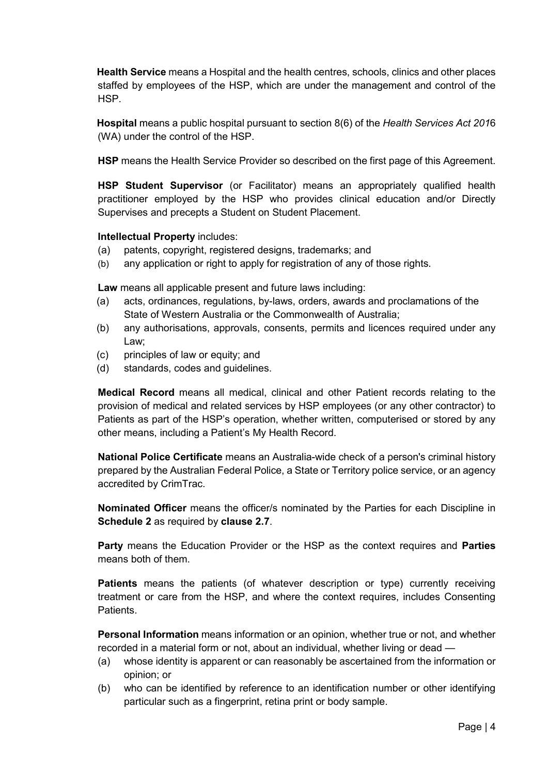**Health Service** means a Hospital and the health centres, schools, clinics and other places staffed by employees of the HSP, which are under the management and control of the HSP.

**Hospital** means a public hospital pursuant to section 8(6) of the *Health Services Act 201*6 (WA) under the control of the HSP.

**HSP** means the Health Service Provider so described on the first page of this Agreement.

**HSP Student Supervisor** (or Facilitator) means an appropriately qualified health practitioner employed by the HSP who provides clinical education and/or Directly Supervises and precepts a Student on Student Placement.

## **Intellectual Property** includes:

- (a) patents, copyright, registered designs, trademarks; and
- (b) any application or right to apply for registration of any of those rights.

**Law** means all applicable present and future laws including:

- (a) acts, ordinances, regulations, by-laws, orders, awards and proclamations of the State of Western Australia or the Commonwealth of Australia;
- (b) any authorisations, approvals, consents, permits and licences required under any Law;
- (c) principles of law or equity; and
- (d) standards, codes and guidelines.

**Medical Record** means all medical, clinical and other Patient records relating to the provision of medical and related services by HSP employees (or any other contractor) to Patients as part of the HSP's operation, whether written, computerised or stored by any other means, including a Patient's My Health Record.

**National Police Certificate** means an Australia-wide check of a person's criminal history prepared by the Australian Federal Police, a State or Territory police service, or an agency accredited by CrimTrac.

**Nominated Officer** means the officer/s nominated by the Parties for each Discipline in **Schedule 2** as required by **clause 2.7**.

**Party** means the Education Provider or the HSP as the context requires and **Parties** means both of them.

**Patients** means the patients (of whatever description or type) currently receiving treatment or care from the HSP, and where the context requires, includes Consenting **Patients** 

**Personal Information** means information or an opinion, whether true or not, and whether recorded in a material form or not, about an individual, whether living or dead —

- (a) whose identity is apparent or can reasonably be ascertained from the information or opinion; or
- (b) who can be identified by reference to an identification number or other identifying particular such as a fingerprint, retina print or body sample.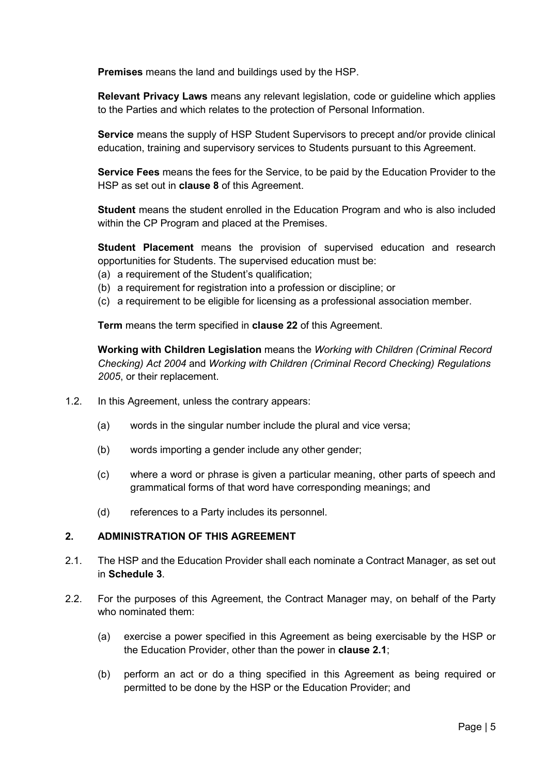**Premises** means the land and buildings used by the HSP.

**Relevant Privacy Laws** means any relevant legislation, code or guideline which applies to the Parties and which relates to the protection of Personal Information.

**Service** means the supply of HSP Student Supervisors to precept and/or provide clinical education, training and supervisory services to Students pursuant to this Agreement.

**Service Fees** means the fees for the Service, to be paid by the Education Provider to the HSP as set out in **clause 8** of this Agreement.

**Student** means the student enrolled in the Education Program and who is also included within the CP Program and placed at the Premises.

**Student Placement** means the provision of supervised education and research opportunities for Students. The supervised education must be:

- (a) a requirement of the Student's qualification;
- (b) a requirement for registration into a profession or discipline; or
- (c) a requirement to be eligible for licensing as a professional association member.

**Term** means the term specified in **clause 22** of this Agreement.

**Working with Children Legislation** means the *Working with Children (Criminal Record Checking) Act 2004* and *Working with Children (Criminal Record Checking) Regulations 2005*, or their replacement.

- 1.2. In this Agreement, unless the contrary appears:
	- (a) words in the singular number include the plural and vice versa;
	- (b) words importing a gender include any other gender;
	- (c) where a word or phrase is given a particular meaning, other parts of speech and grammatical forms of that word have corresponding meanings; and
	- (d) references to a Party includes its personnel.

## <span id="page-5-0"></span>**2. ADMINISTRATION OF THIS AGREEMENT**

- 2.1. The HSP and the Education Provider shall each nominate a Contract Manager, as set out in **Schedule 3**.
- 2.2. For the purposes of this Agreement, the Contract Manager may, on behalf of the Party who nominated them:
	- (a) exercise a power specified in this Agreement as being exercisable by the HSP or the Education Provider, other than the power in **clause 2.1**;
	- (b) perform an act or do a thing specified in this Agreement as being required or permitted to be done by the HSP or the Education Provider; and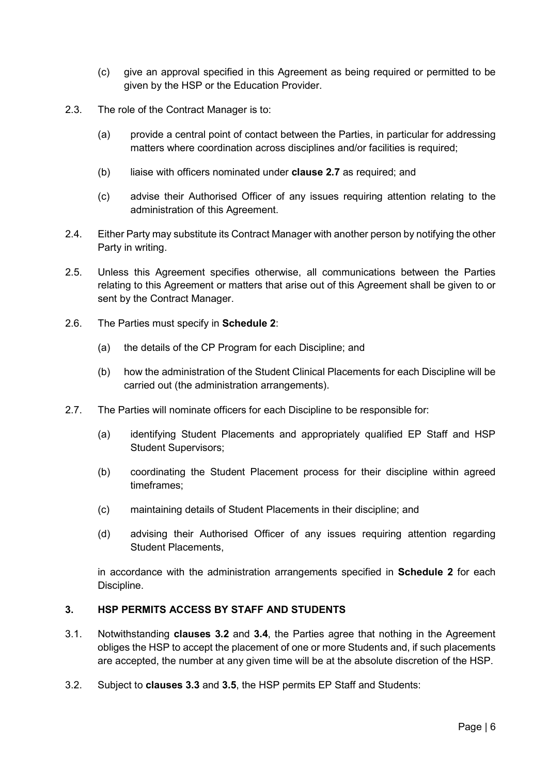- (c) give an approval specified in this Agreement as being required or permitted to be given by the HSP or the Education Provider.
- 2.3. The role of the Contract Manager is to:
	- (a) provide a central point of contact between the Parties, in particular for addressing matters where coordination across disciplines and/or facilities is required;
	- (b) liaise with officers nominated under **clause 2.7** as required; and
	- (c) advise their Authorised Officer of any issues requiring attention relating to the administration of this Agreement.
- 2.4. Either Party may substitute its Contract Manager with another person by notifying the other Party in writing.
- 2.5. Unless this Agreement specifies otherwise, all communications between the Parties relating to this Agreement or matters that arise out of this Agreement shall be given to or sent by the Contract Manager.
- 2.6. The Parties must specify in **Schedule 2**:
	- (a) the details of the CP Program for each Discipline; and
	- (b) how the administration of the Student Clinical Placements for each Discipline will be carried out (the administration arrangements).
- 2.7. The Parties will nominate officers for each Discipline to be responsible for:
	- (a) identifying Student Placements and appropriately qualified EP Staff and HSP Student Supervisors;
	- (b) coordinating the Student Placement process for their discipline within agreed timeframes;
	- (c) maintaining details of Student Placements in their discipline; and
	- (d) advising their Authorised Officer of any issues requiring attention regarding Student Placements,

in accordance with the administration arrangements specified in **Schedule 2** for each Discipline.

## <span id="page-6-0"></span>**3. HSP PERMITS ACCESS BY STAFF AND STUDENTS**

- 3.1. Notwithstanding **clauses 3.2** and **3.4**, the Parties agree that nothing in the Agreement obliges the HSP to accept the placement of one or more Students and, if such placements are accepted, the number at any given time will be at the absolute discretion of the HSP.
- 3.2. Subject to **clauses 3.3** and **3.5**, the HSP permits EP Staff and Students: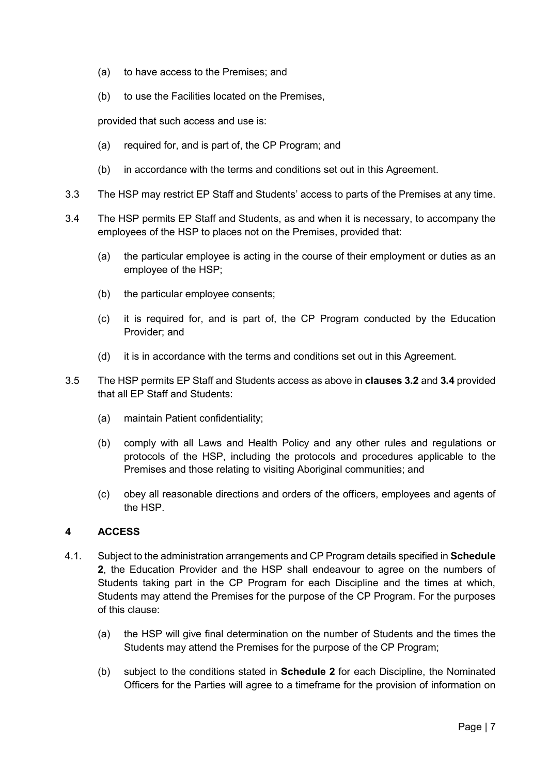- (a) to have access to the Premises; and
- (b) to use the Facilities located on the Premises,

provided that such access and use is:

- (a) required for, and is part of, the CP Program; and
- (b) in accordance with the terms and conditions set out in this Agreement.
- 3.3 The HSP may restrict EP Staff and Students' access to parts of the Premises at any time.
- 3.4 The HSP permits EP Staff and Students, as and when it is necessary, to accompany the employees of the HSP to places not on the Premises, provided that:
	- (a) the particular employee is acting in the course of their employment or duties as an employee of the HSP;
	- (b) the particular employee consents;
	- (c) it is required for, and is part of, the CP Program conducted by the Education Provider; and
	- (d) it is in accordance with the terms and conditions set out in this Agreement.
- 3.5 The HSP permits EP Staff and Students access as above in **clauses 3.2** and **3.4** provided that all EP Staff and Students:
	- (a) maintain Patient confidentiality;
	- (b) comply with all Laws and Health Policy and any other rules and regulations or protocols of the HSP, including the protocols and procedures applicable to the Premises and those relating to visiting Aboriginal communities; and
	- (c) obey all reasonable directions and orders of the officers, employees and agents of the HSP.

## <span id="page-7-0"></span>**4 ACCESS**

- 4.1. Subject to the administration arrangements and CP Program details specified in **Schedule 2**, the Education Provider and the HSP shall endeavour to agree on the numbers of Students taking part in the CP Program for each Discipline and the times at which, Students may attend the Premises for the purpose of the CP Program. For the purposes of this clause:
	- (a) the HSP will give final determination on the number of Students and the times the Students may attend the Premises for the purpose of the CP Program;
	- (b) subject to the conditions stated in **Schedule 2** for each Discipline, the Nominated Officers for the Parties will agree to a timeframe for the provision of information on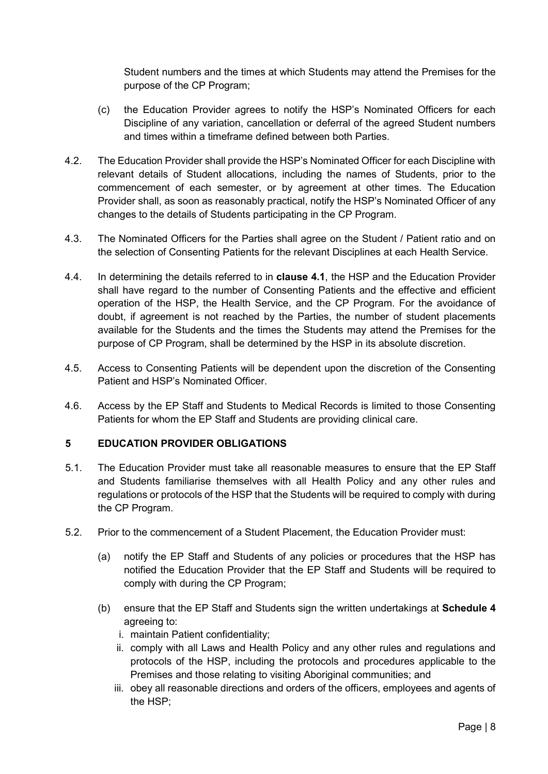Student numbers and the times at which Students may attend the Premises for the purpose of the CP Program;

- (c) the Education Provider agrees to notify the HSP's Nominated Officers for each Discipline of any variation, cancellation or deferral of the agreed Student numbers and times within a timeframe defined between both Parties.
- 4.2. The Education Provider shall provide the HSP's Nominated Officer for each Discipline with relevant details of Student allocations, including the names of Students, prior to the commencement of each semester, or by agreement at other times. The Education Provider shall, as soon as reasonably practical, notify the HSP's Nominated Officer of any changes to the details of Students participating in the CP Program.
- 4.3. The Nominated Officers for the Parties shall agree on the Student / Patient ratio and on the selection of Consenting Patients for the relevant Disciplines at each Health Service.
- 4.4. In determining the details referred to in **clause 4.1**, the HSP and the Education Provider shall have regard to the number of Consenting Patients and the effective and efficient operation of the HSP, the Health Service, and the CP Program. For the avoidance of doubt, if agreement is not reached by the Parties, the number of student placements available for the Students and the times the Students may attend the Premises for the purpose of CP Program, shall be determined by the HSP in its absolute discretion.
- 4.5. Access to Consenting Patients will be dependent upon the discretion of the Consenting Patient and HSP's Nominated Officer.
- 4.6. Access by the EP Staff and Students to Medical Records is limited to those Consenting Patients for whom the EP Staff and Students are providing clinical care.

## <span id="page-8-0"></span>**5 EDUCATION PROVIDER OBLIGATIONS**

- 5.1. The Education Provider must take all reasonable measures to ensure that the EP Staff and Students familiarise themselves with all Health Policy and any other rules and regulations or protocols of the HSP that the Students will be required to comply with during the CP Program.
- 5.2. Prior to the commencement of a Student Placement, the Education Provider must:
	- (a) notify the EP Staff and Students of any policies or procedures that the HSP has notified the Education Provider that the EP Staff and Students will be required to comply with during the CP Program;
	- (b) ensure that the EP Staff and Students sign the written undertakings at **Schedule 4** agreeing to:
		- i. maintain Patient confidentiality;
		- ii. comply with all Laws and Health Policy and any other rules and regulations and protocols of the HSP, including the protocols and procedures applicable to the Premises and those relating to visiting Aboriginal communities; and
		- iii. obey all reasonable directions and orders of the officers, employees and agents of the HSP;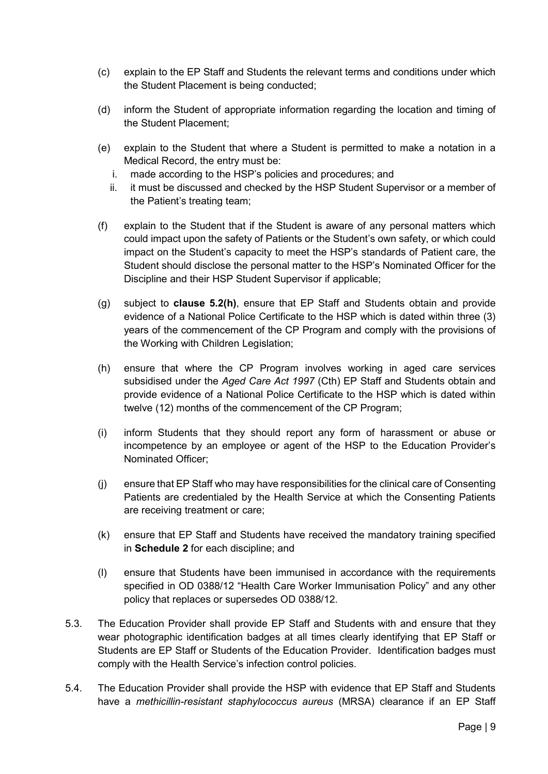- (c) explain to the EP Staff and Students the relevant terms and conditions under which the Student Placement is being conducted;
- (d) inform the Student of appropriate information regarding the location and timing of the Student Placement;
- (e) explain to the Student that where a Student is permitted to make a notation in a Medical Record, the entry must be:
	- i. made according to the HSP's policies and procedures; and
	- ii. it must be discussed and checked by the HSP Student Supervisor or a member of the Patient's treating team;
- (f) explain to the Student that if the Student is aware of any personal matters which could impact upon the safety of Patients or the Student's own safety, or which could impact on the Student's capacity to meet the HSP's standards of Patient care, the Student should disclose the personal matter to the HSP's Nominated Officer for the Discipline and their HSP Student Supervisor if applicable;
- (g) subject to **clause 5.2(h)**, ensure that EP Staff and Students obtain and provide evidence of a National Police Certificate to the HSP which is dated within three (3) years of the commencement of the CP Program and comply with the provisions of the Working with Children Legislation;
- (h) ensure that where the CP Program involves working in aged care services subsidised under the *Aged Care Act 1997* (Cth) EP Staff and Students obtain and provide evidence of a National Police Certificate to the HSP which is dated within twelve (12) months of the commencement of the CP Program;
- (i) inform Students that they should report any form of harassment or abuse or incompetence by an employee or agent of the HSP to the Education Provider's Nominated Officer;
- (j) ensure that EP Staff who may have responsibilities for the clinical care of Consenting Patients are credentialed by the Health Service at which the Consenting Patients are receiving treatment or care;
- (k) ensure that EP Staff and Students have received the mandatory training specified in **Schedule 2** for each discipline; and
- (l) ensure that Students have been immunised in accordance with the requirements specified in OD 0388/12 "Health Care Worker Immunisation Policy" and any other policy that replaces or supersedes OD 0388/12.
- 5.3. The Education Provider shall provide EP Staff and Students with and ensure that they wear photographic identification badges at all times clearly identifying that EP Staff or Students are EP Staff or Students of the Education Provider. Identification badges must comply with the Health Service's infection control policies.
- 5.4. The Education Provider shall provide the HSP with evidence that EP Staff and Students have a *methicillin-resistant staphylococcus aureus* (MRSA) clearance if an EP Staff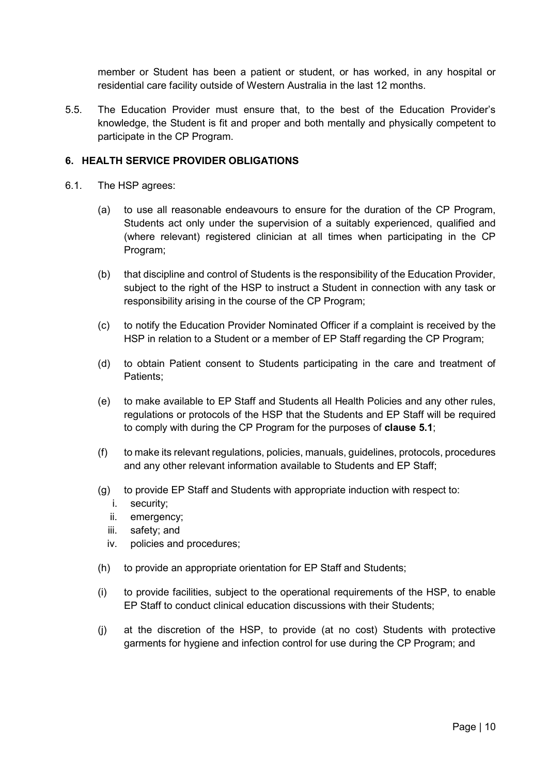member or Student has been a patient or student, or has worked, in any hospital or residential care facility outside of Western Australia in the last 12 months.

5.5. The Education Provider must ensure that, to the best of the Education Provider's knowledge, the Student is fit and proper and both mentally and physically competent to participate in the CP Program.

## <span id="page-10-0"></span>**6. HEALTH SERVICE PROVIDER OBLIGATIONS**

- 6.1. The HSP agrees:
	- (a) to use all reasonable endeavours to ensure for the duration of the CP Program, Students act only under the supervision of a suitably experienced, qualified and (where relevant) registered clinician at all times when participating in the CP Program;
	- (b) that discipline and control of Students is the responsibility of the Education Provider, subject to the right of the HSP to instruct a Student in connection with any task or responsibility arising in the course of the CP Program;
	- (c) to notify the Education Provider Nominated Officer if a complaint is received by the HSP in relation to a Student or a member of EP Staff regarding the CP Program;
	- (d) to obtain Patient consent to Students participating in the care and treatment of Patients;
	- (e) to make available to EP Staff and Students all Health Policies and any other rules, regulations or protocols of the HSP that the Students and EP Staff will be required to comply with during the CP Program for the purposes of **clause 5.1**;
	- (f) to make its relevant regulations, policies, manuals, guidelines, protocols, procedures and any other relevant information available to Students and EP Staff;
	- (g) to provide EP Staff and Students with appropriate induction with respect to:
		- i. security;
		- ii. emergency;
		- iii. safety; and
		- iv. policies and procedures;
	- (h) to provide an appropriate orientation for EP Staff and Students;
	- (i) to provide facilities, subject to the operational requirements of the HSP, to enable EP Staff to conduct clinical education discussions with their Students;
	- (j) at the discretion of the HSP, to provide (at no cost) Students with protective garments for hygiene and infection control for use during the CP Program; and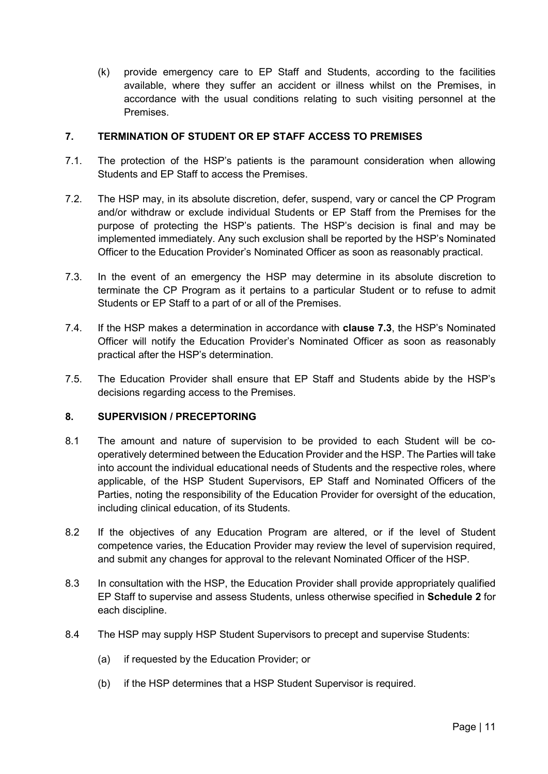(k) provide emergency care to EP Staff and Students, according to the facilities available, where they suffer an accident or illness whilst on the Premises, in accordance with the usual conditions relating to such visiting personnel at the Premises.

## <span id="page-11-0"></span>**7. TERMINATION OF STUDENT OR EP STAFF ACCESS TO PREMISES**

- 7.1. The protection of the HSP's patients is the paramount consideration when allowing Students and EP Staff to access the Premises.
- 7.2. The HSP may, in its absolute discretion, defer, suspend, vary or cancel the CP Program and/or withdraw or exclude individual Students or EP Staff from the Premises for the purpose of protecting the HSP's patients. The HSP's decision is final and may be implemented immediately. Any such exclusion shall be reported by the HSP's Nominated Officer to the Education Provider's Nominated Officer as soon as reasonably practical.
- 7.3. In the event of an emergency the HSP may determine in its absolute discretion to terminate the CP Program as it pertains to a particular Student or to refuse to admit Students or EP Staff to a part of or all of the Premises.
- 7.4. If the HSP makes a determination in accordance with **clause 7.3**, the HSP's Nominated Officer will notify the Education Provider's Nominated Officer as soon as reasonably practical after the HSP's determination.
- 7.5. The Education Provider shall ensure that EP Staff and Students abide by the HSP's decisions regarding access to the Premises.

## <span id="page-11-1"></span>**8. SUPERVISION / PRECEPTORING**

- 8.1 The amount and nature of supervision to be provided to each Student will be cooperatively determined between the Education Provider and the HSP. The Parties will take into account the individual educational needs of Students and the respective roles, where applicable, of the HSP Student Supervisors, EP Staff and Nominated Officers of the Parties, noting the responsibility of the Education Provider for oversight of the education, including clinical education, of its Students.
- 8.2 If the objectives of any Education Program are altered, or if the level of Student competence varies, the Education Provider may review the level of supervision required, and submit any changes for approval to the relevant Nominated Officer of the HSP.
- 8.3 In consultation with the HSP, the Education Provider shall provide appropriately qualified EP Staff to supervise and assess Students, unless otherwise specified in **Schedule 2** for each discipline.
- 8.4 The HSP may supply HSP Student Supervisors to precept and supervise Students:
	- (a) if requested by the Education Provider; or
	- (b) if the HSP determines that a HSP Student Supervisor is required.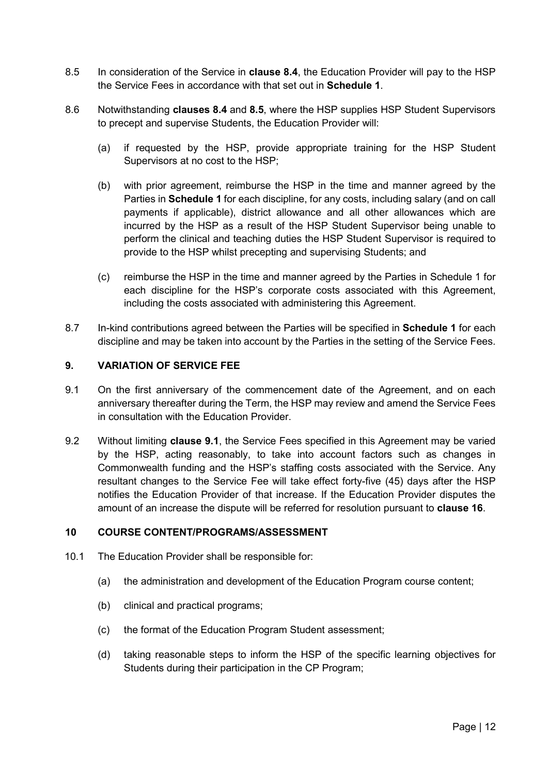- 8.5 In consideration of the Service in **clause 8.4**, the Education Provider will pay to the HSP the Service Fees in accordance with that set out in **Schedule 1**.
- 8.6 Notwithstanding **clauses 8.4** and **8.5**, where the HSP supplies HSP Student Supervisors to precept and supervise Students, the Education Provider will:
	- (a) if requested by the HSP, provide appropriate training for the HSP Student Supervisors at no cost to the HSP;
	- (b) with prior agreement, reimburse the HSP in the time and manner agreed by the Parties in **Schedule 1** for each discipline, for any costs, including salary (and on call payments if applicable), district allowance and all other allowances which are incurred by the HSP as a result of the HSP Student Supervisor being unable to perform the clinical and teaching duties the HSP Student Supervisor is required to provide to the HSP whilst precepting and supervising Students; and
	- (c) reimburse the HSP in the time and manner agreed by the Parties in Schedule 1 for each discipline for the HSP's corporate costs associated with this Agreement, including the costs associated with administering this Agreement.
- 8.7 In-kind contributions agreed between the Parties will be specified in **Schedule 1** for each discipline and may be taken into account by the Parties in the setting of the Service Fees.

## <span id="page-12-0"></span>**9. VARIATION OF SERVICE FEE**

- 9.1 On the first anniversary of the commencement date of the Agreement, and on each anniversary thereafter during the Term, the HSP may review and amend the Service Fees in consultation with the Education Provider.
- 9.2 Without limiting **clause 9.1**, the Service Fees specified in this Agreement may be varied by the HSP, acting reasonably, to take into account factors such as changes in Commonwealth funding and the HSP's staffing costs associated with the Service. Any resultant changes to the Service Fee will take effect forty-five (45) days after the HSP notifies the Education Provider of that increase. If the Education Provider disputes the amount of an increase the dispute will be referred for resolution pursuant to **clause 16**.

## <span id="page-12-1"></span>**10 COURSE CONTENT/PROGRAMS/ASSESSMENT**

- 10.1 The Education Provider shall be responsible for:
	- (a) the administration and development of the Education Program course content;
	- (b) clinical and practical programs;
	- (c) the format of the Education Program Student assessment;
	- (d) taking reasonable steps to inform the HSP of the specific learning objectives for Students during their participation in the CP Program;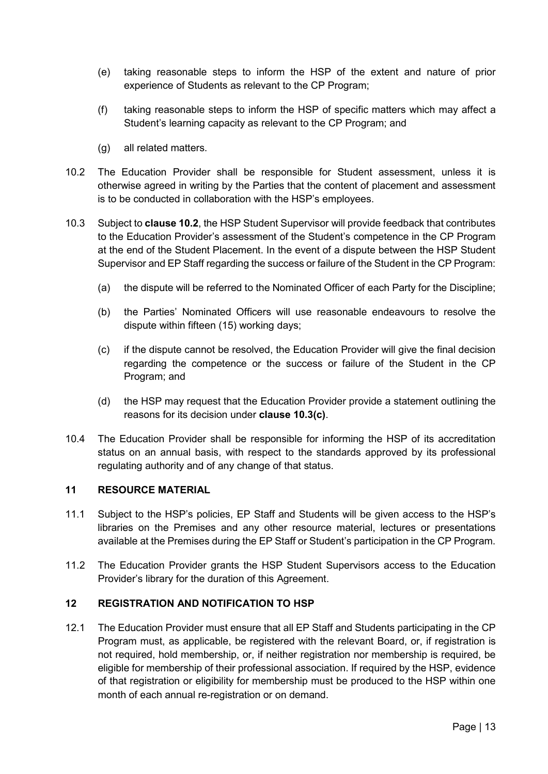- (e) taking reasonable steps to inform the HSP of the extent and nature of prior experience of Students as relevant to the CP Program;
- (f) taking reasonable steps to inform the HSP of specific matters which may affect a Student's learning capacity as relevant to the CP Program; and
- (g) all related matters.
- 10.2 The Education Provider shall be responsible for Student assessment, unless it is otherwise agreed in writing by the Parties that the content of placement and assessment is to be conducted in collaboration with the HSP's employees.
- 10.3 Subject to **clause 10.2**, the HSP Student Supervisor will provide feedback that contributes to the Education Provider's assessment of the Student's competence in the CP Program at the end of the Student Placement. In the event of a dispute between the HSP Student Supervisor and EP Staff regarding the success or failure of the Student in the CP Program:
	- (a) the dispute will be referred to the Nominated Officer of each Party for the Discipline;
	- (b) the Parties' Nominated Officers will use reasonable endeavours to resolve the dispute within fifteen (15) working days;
	- (c) if the dispute cannot be resolved, the Education Provider will give the final decision regarding the competence or the success or failure of the Student in the CP Program; and
	- (d) the HSP may request that the Education Provider provide a statement outlining the reasons for its decision under **clause 10.3(c)**.
- 10.4 The Education Provider shall be responsible for informing the HSP of its accreditation status on an annual basis, with respect to the standards approved by its professional regulating authority and of any change of that status.

## <span id="page-13-0"></span>**11 RESOURCE MATERIAL**

- 11.1 Subject to the HSP's policies, EP Staff and Students will be given access to the HSP's libraries on the Premises and any other resource material, lectures or presentations available at the Premises during the EP Staff or Student's participation in the CP Program.
- 11.2 The Education Provider grants the HSP Student Supervisors access to the Education Provider's library for the duration of this Agreement.

## <span id="page-13-1"></span>**12 REGISTRATION AND NOTIFICATION TO HSP**

12.1 The Education Provider must ensure that all EP Staff and Students participating in the CP Program must, as applicable, be registered with the relevant Board, or, if registration is not required, hold membership, or, if neither registration nor membership is required, be eligible for membership of their professional association. If required by the HSP, evidence of that registration or eligibility for membership must be produced to the HSP within one month of each annual re-registration or on demand.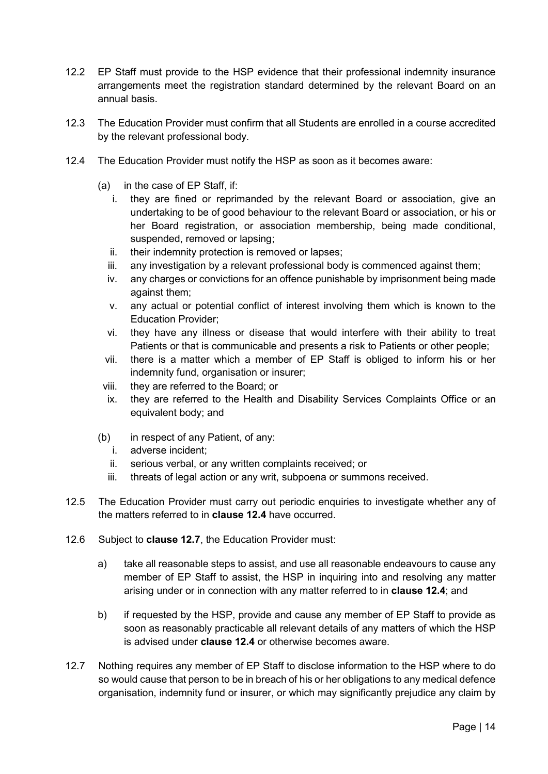- 12.2 EP Staff must provide to the HSP evidence that their professional indemnity insurance arrangements meet the registration standard determined by the relevant Board on an annual basis.
- 12.3 The Education Provider must confirm that all Students are enrolled in a course accredited by the relevant professional body.
- 12.4 The Education Provider must notify the HSP as soon as it becomes aware:
	- (a) in the case of EP Staff, if:
		- i. they are fined or reprimanded by the relevant Board or association, give an undertaking to be of good behaviour to the relevant Board or association, or his or her Board registration, or association membership, being made conditional, suspended, removed or lapsing;
		- ii. their indemnity protection is removed or lapses;
		- iii. any investigation by a relevant professional body is commenced against them;
		- iv. any charges or convictions for an offence punishable by imprisonment being made against them;
		- v. any actual or potential conflict of interest involving them which is known to the Education Provider;
		- vi. they have any illness or disease that would interfere with their ability to treat Patients or that is communicable and presents a risk to Patients or other people;
		- vii. there is a matter which a member of EP Staff is obliged to inform his or her indemnity fund, organisation or insurer;
		- viii. they are referred to the Board; or
		- ix. they are referred to the Health and Disability Services Complaints Office or an equivalent body; and
	- (b) in respect of any Patient, of any:
		- i. adverse incident;
		- ii. serious verbal, or any written complaints received; or
		- iii. threats of legal action or any writ, subpoena or summons received.
- 12.5 The Education Provider must carry out periodic enquiries to investigate whether any of the matters referred to in **clause 12.4** have occurred.
- 12.6 Subject to **clause 12.7**, the Education Provider must:
	- a) take all reasonable steps to assist, and use all reasonable endeavours to cause any member of EP Staff to assist, the HSP in inquiring into and resolving any matter arising under or in connection with any matter referred to in **clause 12.4**; and
	- b) if requested by the HSP, provide and cause any member of EP Staff to provide as soon as reasonably practicable all relevant details of any matters of which the HSP is advised under **clause 12.4** or otherwise becomes aware.
- 12.7 Nothing requires any member of EP Staff to disclose information to the HSP where to do so would cause that person to be in breach of his or her obligations to any medical defence organisation, indemnity fund or insurer, or which may significantly prejudice any claim by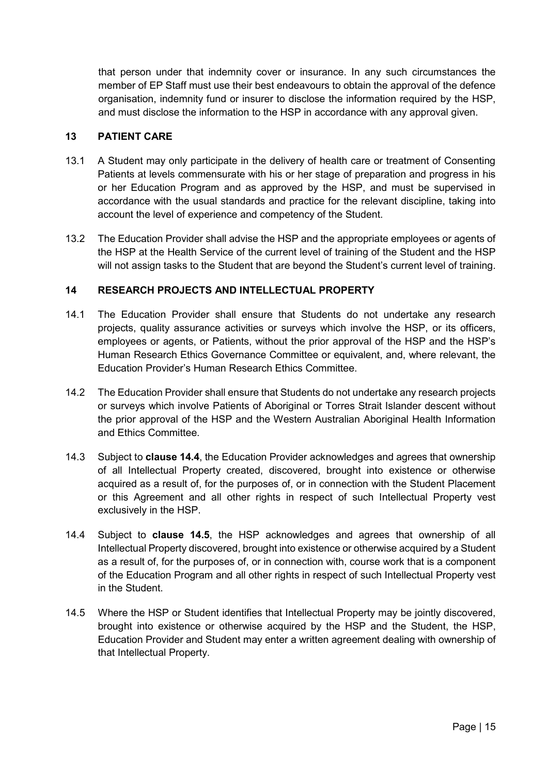that person under that indemnity cover or insurance. In any such circumstances the member of EP Staff must use their best endeavours to obtain the approval of the defence organisation, indemnity fund or insurer to disclose the information required by the HSP, and must disclose the information to the HSP in accordance with any approval given.

## <span id="page-15-0"></span>**13 PATIENT CARE**

- 13.1 A Student may only participate in the delivery of health care or treatment of Consenting Patients at levels commensurate with his or her stage of preparation and progress in his or her Education Program and as approved by the HSP, and must be supervised in accordance with the usual standards and practice for the relevant discipline, taking into account the level of experience and competency of the Student.
- 13.2 The Education Provider shall advise the HSP and the appropriate employees or agents of the HSP at the Health Service of the current level of training of the Student and the HSP will not assign tasks to the Student that are beyond the Student's current level of training.

## <span id="page-15-1"></span>**14 RESEARCH PROJECTS AND INTELLECTUAL PROPERTY**

- 14.1 The Education Provider shall ensure that Students do not undertake any research projects, quality assurance activities or surveys which involve the HSP, or its officers, employees or agents, or Patients, without the prior approval of the HSP and the HSP's Human Research Ethics Governance Committee or equivalent, and, where relevant, the Education Provider's Human Research Ethics Committee.
- 14.2 The Education Provider shall ensure that Students do not undertake any research projects or surveys which involve Patients of Aboriginal or Torres Strait Islander descent without the prior approval of the HSP and the Western Australian Aboriginal Health Information and Ethics Committee.
- 14.3 Subject to **clause 14.4**, the Education Provider acknowledges and agrees that ownership of all Intellectual Property created, discovered, brought into existence or otherwise acquired as a result of, for the purposes of, or in connection with the Student Placement or this Agreement and all other rights in respect of such Intellectual Property vest exclusively in the HSP.
- 14.4 Subject to **clause 14.5**, the HSP acknowledges and agrees that ownership of all Intellectual Property discovered, brought into existence or otherwise acquired by a Student as a result of, for the purposes of, or in connection with, course work that is a component of the Education Program and all other rights in respect of such Intellectual Property vest in the Student.
- 14.5 Where the HSP or Student identifies that Intellectual Property may be jointly discovered, brought into existence or otherwise acquired by the HSP and the Student, the HSP, Education Provider and Student may enter a written agreement dealing with ownership of that Intellectual Property.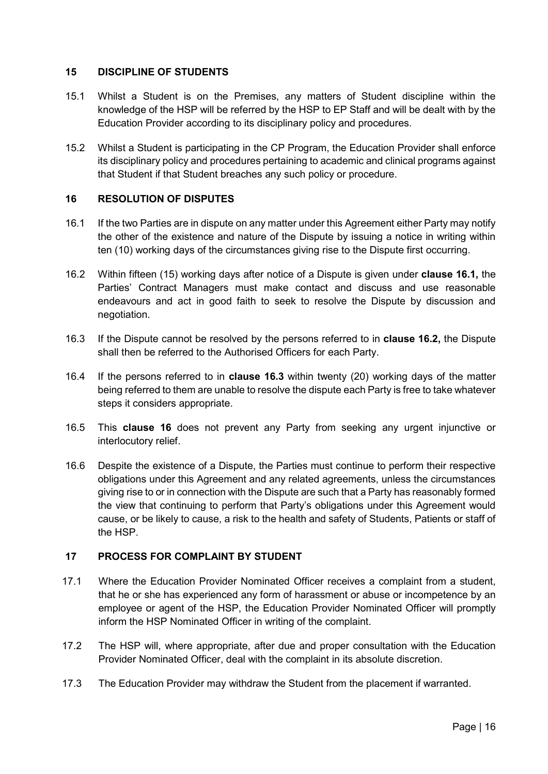## <span id="page-16-0"></span>**15 DISCIPLINE OF STUDENTS**

- 15.1 Whilst a Student is on the Premises, any matters of Student discipline within the knowledge of the HSP will be referred by the HSP to EP Staff and will be dealt with by the Education Provider according to its disciplinary policy and procedures.
- 15.2 Whilst a Student is participating in the CP Program, the Education Provider shall enforce its disciplinary policy and procedures pertaining to academic and clinical programs against that Student if that Student breaches any such policy or procedure.

## <span id="page-16-1"></span>**16 RESOLUTION OF DISPUTES**

- 16.1 If the two Parties are in dispute on any matter under this Agreement either Party may notify the other of the existence and nature of the Dispute by issuing a notice in writing within ten (10) working days of the circumstances giving rise to the Dispute first occurring.
- 16.2 Within fifteen (15) working days after notice of a Dispute is given under **clause 16.1,** the Parties' Contract Managers must make contact and discuss and use reasonable endeavours and act in good faith to seek to resolve the Dispute by discussion and negotiation.
- 16.3 If the Dispute cannot be resolved by the persons referred to in **clause 16.2,** the Dispute shall then be referred to the Authorised Officers for each Party.
- 16.4 If the persons referred to in **clause 16.3** within twenty (20) working days of the matter being referred to them are unable to resolve the dispute each Party is free to take whatever steps it considers appropriate.
- 16.5 This **clause 16** does not prevent any Party from seeking any urgent injunctive or interlocutory relief.
- 16.6 Despite the existence of a Dispute, the Parties must continue to perform their respective obligations under this Agreement and any related agreements, unless the circumstances giving rise to or in connection with the Dispute are such that a Party has reasonably formed the view that continuing to perform that Party's obligations under this Agreement would cause, or be likely to cause, a risk to the health and safety of Students, Patients or staff of the HSP.

## <span id="page-16-2"></span>**17 PROCESS FOR COMPLAINT BY STUDENT**

- 17.1 Where the Education Provider Nominated Officer receives a complaint from a student, that he or she has experienced any form of harassment or abuse or incompetence by an employee or agent of the HSP, the Education Provider Nominated Officer will promptly inform the HSP Nominated Officer in writing of the complaint.
- 17.2 The HSP will, where appropriate, after due and proper consultation with the Education Provider Nominated Officer, deal with the complaint in its absolute discretion.
- 17.3 The Education Provider may withdraw the Student from the placement if warranted.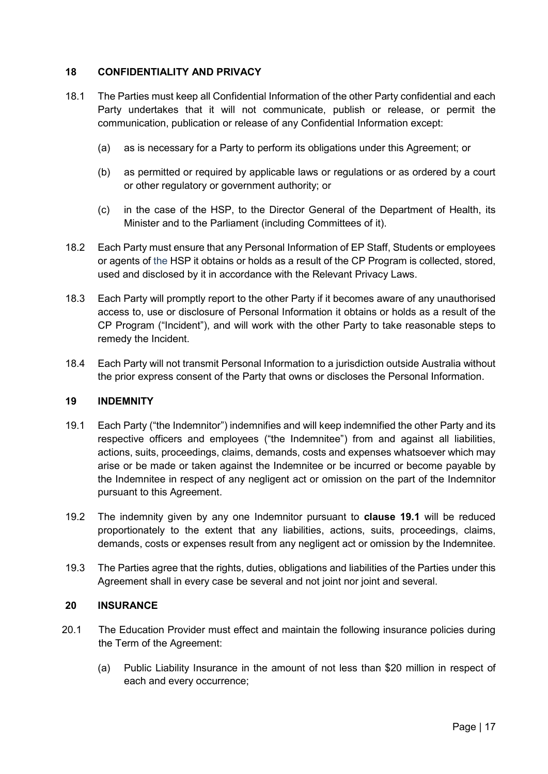## <span id="page-17-0"></span>**18 CONFIDENTIALITY AND PRIVACY**

- 18.1 The Parties must keep all Confidential Information of the other Party confidential and each Party undertakes that it will not communicate, publish or release, or permit the communication, publication or release of any Confidential Information except:
	- (a) as is necessary for a Party to perform its obligations under this Agreement; or
	- (b) as permitted or required by applicable laws or regulations or as ordered by a court or other regulatory or government authority; or
	- (c) in the case of the HSP, to the Director General of the Department of Health, its Minister and to the Parliament (including Committees of it).
- 18.2 Each Party must ensure that any Personal Information of EP Staff, Students or employees or agents of the HSP it obtains or holds as a result of the CP Program is collected, stored, used and disclosed by it in accordance with the Relevant Privacy Laws.
- 18.3 Each Party will promptly report to the other Party if it becomes aware of any unauthorised access to, use or disclosure of Personal Information it obtains or holds as a result of the CP Program ("Incident"), and will work with the other Party to take reasonable steps to remedy the Incident.
- 18.4 Each Party will not transmit Personal Information to a jurisdiction outside Australia without the prior express consent of the Party that owns or discloses the Personal Information.

## <span id="page-17-1"></span>**19 INDEMNITY**

- 19.1 Each Party ("the Indemnitor") indemnifies and will keep indemnified the other Party and its respective officers and employees ("the Indemnitee") from and against all liabilities, actions, suits, proceedings, claims, demands, costs and expenses whatsoever which may arise or be made or taken against the Indemnitee or be incurred or become payable by the Indemnitee in respect of any negligent act or omission on the part of the Indemnitor pursuant to this Agreement.
- 19.2 The indemnity given by any one Indemnitor pursuant to **clause 19.1** will be reduced proportionately to the extent that any liabilities, actions, suits, proceedings, claims, demands, costs or expenses result from any negligent act or omission by the Indemnitee.
- 19.3 The Parties agree that the rights, duties, obligations and liabilities of the Parties under this Agreement shall in every case be several and not joint nor joint and several.

## <span id="page-17-2"></span>**20 INSURANCE**

- 20.1 The Education Provider must effect and maintain the following insurance policies during the Term of the Agreement:
	- (a) Public Liability Insurance in the amount of not less than \$20 million in respect of each and every occurrence;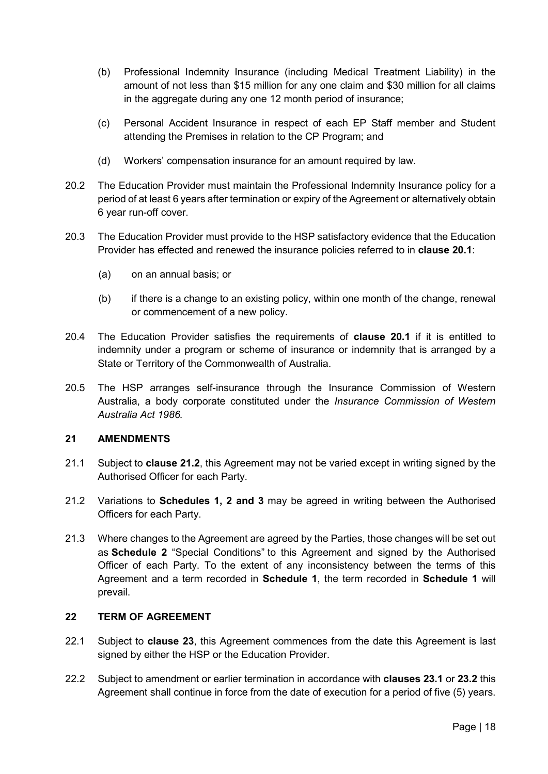- (b) Professional Indemnity Insurance (including Medical Treatment Liability) in the amount of not less than \$15 million for any one claim and \$30 million for all claims in the aggregate during any one 12 month period of insurance;
- (c) Personal Accident Insurance in respect of each EP Staff member and Student attending the Premises in relation to the CP Program; and
- (d) Workers' compensation insurance for an amount required by law.
- 20.2 The Education Provider must maintain the Professional Indemnity Insurance policy for a period of at least 6 years after termination or expiry of the Agreement or alternatively obtain 6 year run-off cover.
- 20.3 The Education Provider must provide to the HSP satisfactory evidence that the Education Provider has effected and renewed the insurance policies referred to in **clause 20.1**:
	- (a) on an annual basis; or
	- (b) if there is a change to an existing policy, within one month of the change, renewal or commencement of a new policy.
- 20.4 The Education Provider satisfies the requirements of **clause 20.1** if it is entitled to indemnity under a program or scheme of insurance or indemnity that is arranged by a State or Territory of the Commonwealth of Australia.
- 20.5 The HSP arranges self-insurance through the Insurance Commission of Western Australia, a body corporate constituted under the *Insurance Commission of Western Australia Act 1986.*

## <span id="page-18-0"></span>**21 AMENDMENTS**

- 21.1 Subject to **clause 21.2**, this Agreement may not be varied except in writing signed by the Authorised Officer for each Party.
- 21.2 Variations to **Schedules 1, 2 and 3** may be agreed in writing between the Authorised Officers for each Party.
- 21.3 Where changes to the Agreement are agreed by the Parties, those changes will be set out as **Schedule 2** "Special Conditions" to this Agreement and signed by the Authorised Officer of each Party. To the extent of any inconsistency between the terms of this Agreement and a term recorded in **Schedule 1**, the term recorded in **Schedule 1** will prevail.

#### <span id="page-18-1"></span>**22 TERM OF AGREEMENT**

- 22.1 Subject to **clause 23**, this Agreement commences from the date this Agreement is last signed by either the HSP or the Education Provider.
- 22.2 Subject to amendment or earlier termination in accordance with **clauses 23.1** or **23.2** this Agreement shall continue in force from the date of execution for a period of five (5) years.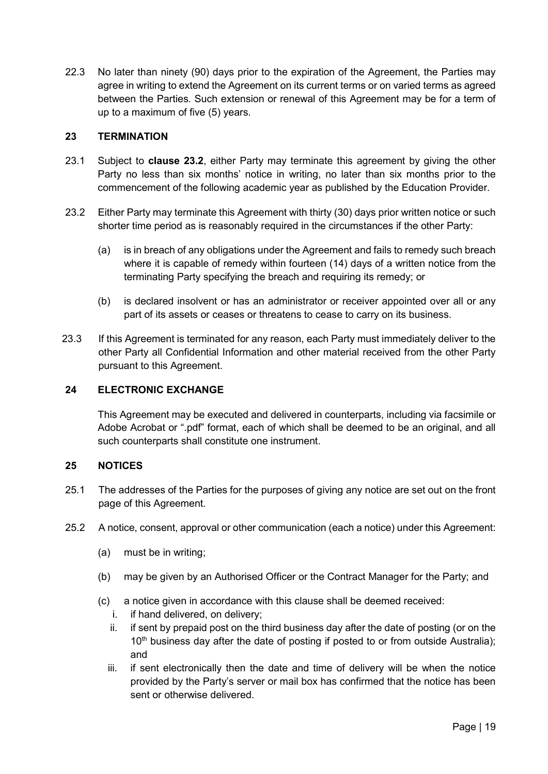22.3 No later than ninety (90) days prior to the expiration of the Agreement, the Parties may agree in writing to extend the Agreement on its current terms or on varied terms as agreed between the Parties. Such extension or renewal of this Agreement may be for a term of up to a maximum of five (5) years.

## <span id="page-19-0"></span>**23 TERMINATION**

- 23.1 Subject to **clause 23.2**, either Party may terminate this agreement by giving the other Party no less than six months' notice in writing, no later than six months prior to the commencement of the following academic year as published by the Education Provider.
- 23.2 Either Party may terminate this Agreement with thirty (30) days prior written notice or such shorter time period as is reasonably required in the circumstances if the other Party:
	- (a) is in breach of any obligations under the Agreement and fails to remedy such breach where it is capable of remedy within fourteen (14) days of a written notice from the terminating Party specifying the breach and requiring its remedy; or
	- (b) is declared insolvent or has an administrator or receiver appointed over all or any part of its assets or ceases or threatens to cease to carry on its business.
- 23.3 If this Agreement is terminated for any reason, each Party must immediately deliver to the other Party all Confidential Information and other material received from the other Party pursuant to this Agreement.

## <span id="page-19-1"></span>**24 ELECTRONIC EXCHANGE**

This Agreement may be executed and delivered in counterparts, including via facsimile or Adobe Acrobat or ".pdf" format, each of which shall be deemed to be an original, and all such counterparts shall constitute one instrument.

## <span id="page-19-2"></span>**25 NOTICES**

- 25.1 The addresses of the Parties for the purposes of giving any notice are set out on the front page of this Agreement.
- 25.2 A notice, consent, approval or other communication (each a notice) under this Agreement:
	- (a) must be in writing;
	- (b) may be given by an Authorised Officer or the Contract Manager for the Party; and
	- (c) a notice given in accordance with this clause shall be deemed received:
		- i. if hand delivered, on delivery;
		- ii. if sent by prepaid post on the third business day after the date of posting (or on the 10<sup>th</sup> business day after the date of posting if posted to or from outside Australia); and
		- iii. if sent electronically then the date and time of delivery will be when the notice provided by the Party's server or mail box has confirmed that the notice has been sent or otherwise delivered.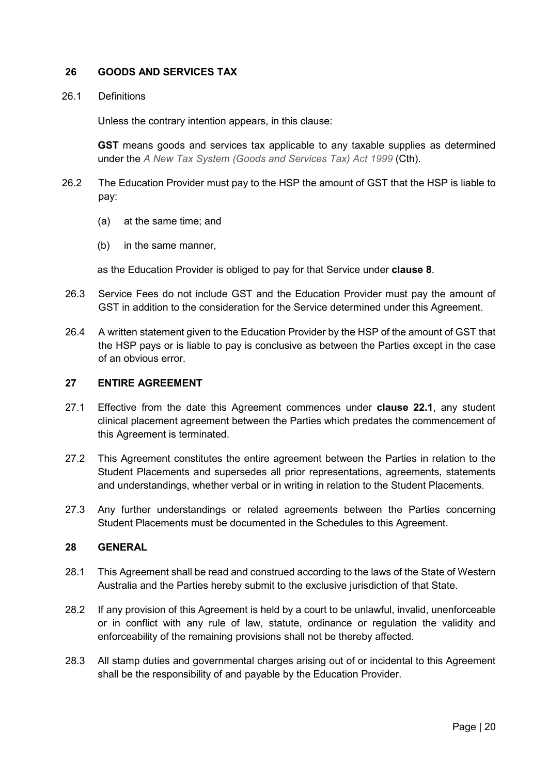## <span id="page-20-0"></span>**26 GOODS AND SERVICES TAX**

#### 26.1 Definitions

Unless the contrary intention appears, in this clause:

**GST** means goods and services tax applicable to any taxable supplies as determined under the *A New Tax System (Goods and Services Tax) Act 1999* (Cth).

- 26.2 The Education Provider must pay to the HSP the amount of GST that the HSP is liable to pay:
	- (a) at the same time; and
	- (b) in the same manner,

as the Education Provider is obliged to pay for that Service under **clause 8**.

- 26.3 Service Fees do not include GST and the Education Provider must pay the amount of GST in addition to the consideration for the Service determined under this Agreement.
- 26.4 A written statement given to the Education Provider by the HSP of the amount of GST that the HSP pays or is liable to pay is conclusive as between the Parties except in the case of an obvious error.

#### <span id="page-20-1"></span>**27 ENTIRE AGREEMENT**

- 27.1 Effective from the date this Agreement commences under **clause 22.1**, any student clinical placement agreement between the Parties which predates the commencement of this Agreement is terminated.
- 27.2 This Agreement constitutes the entire agreement between the Parties in relation to the Student Placements and supersedes all prior representations, agreements, statements and understandings, whether verbal or in writing in relation to the Student Placements.
- 27.3 Any further understandings or related agreements between the Parties concerning Student Placements must be documented in the Schedules to this Agreement.

## <span id="page-20-2"></span>**28 GENERAL**

- 28.1 This Agreement shall be read and construed according to the laws of the State of Western Australia and the Parties hereby submit to the exclusive jurisdiction of that State.
- 28.2 If any provision of this Agreement is held by a court to be unlawful, invalid, unenforceable or in conflict with any rule of law, statute, ordinance or regulation the validity and enforceability of the remaining provisions shall not be thereby affected.
- 28.3 All stamp duties and governmental charges arising out of or incidental to this Agreement shall be the responsibility of and payable by the Education Provider.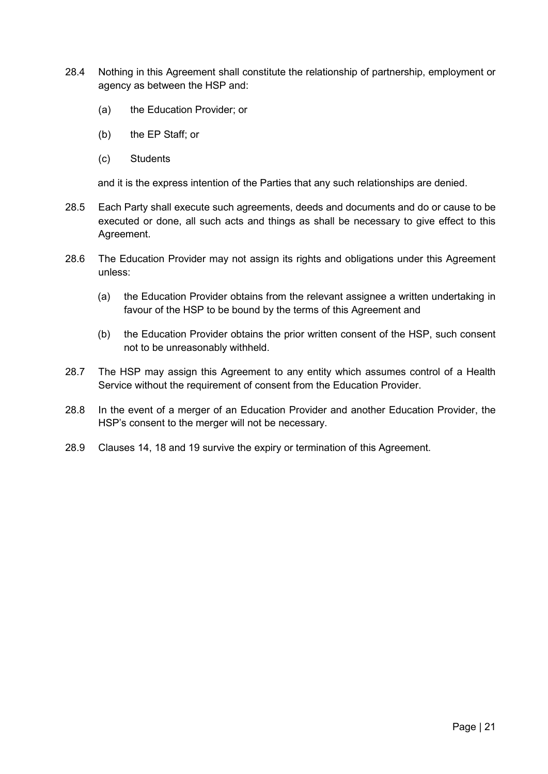- 28.4 Nothing in this Agreement shall constitute the relationship of partnership, employment or agency as between the HSP and:
	- (a) the Education Provider; or
	- (b) the EP Staff; or
	- (c) Students

and it is the express intention of the Parties that any such relationships are denied.

- 28.5 Each Party shall execute such agreements, deeds and documents and do or cause to be executed or done, all such acts and things as shall be necessary to give effect to this Agreement.
- 28.6 The Education Provider may not assign its rights and obligations under this Agreement unless:
	- (a) the Education Provider obtains from the relevant assignee a written undertaking in favour of the HSP to be bound by the terms of this Agreement and
	- (b) the Education Provider obtains the prior written consent of the HSP, such consent not to be unreasonably withheld.
- 28.7 The HSP may assign this Agreement to any entity which assumes control of a Health Service without the requirement of consent from the Education Provider.
- 28.8 In the event of a merger of an Education Provider and another Education Provider, the HSP's consent to the merger will not be necessary.
- 28.9 Clauses 14, 18 and 19 survive the expiry or termination of this Agreement.